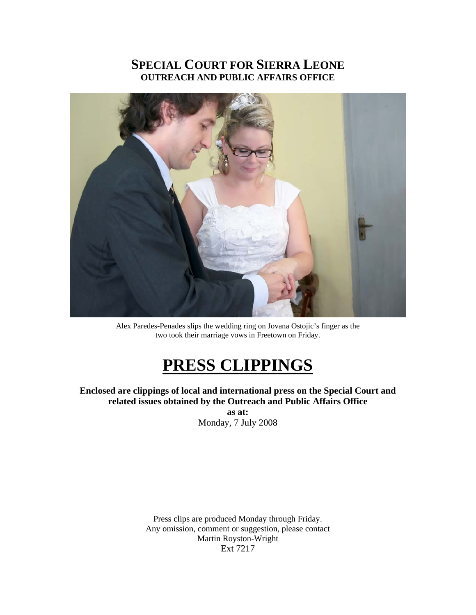## **SPECIAL COURT FOR SIERRA LEONE OUTREACH AND PUBLIC AFFAIRS OFFICE**



Alex Paredes-Penades slips the wedding ring on Jovana Ostojic's finger as the two took their marriage vows in Freetown on Friday.

## **PRESS CLIPPINGS**

**Enclosed are clippings of local and international press on the Special Court and related issues obtained by the Outreach and Public Affairs Office** 

**as at:**  Monday, 7 July 2008

Press clips are produced Monday through Friday. Any omission, comment or suggestion, please contact Martin Royston-Wright Ext 7217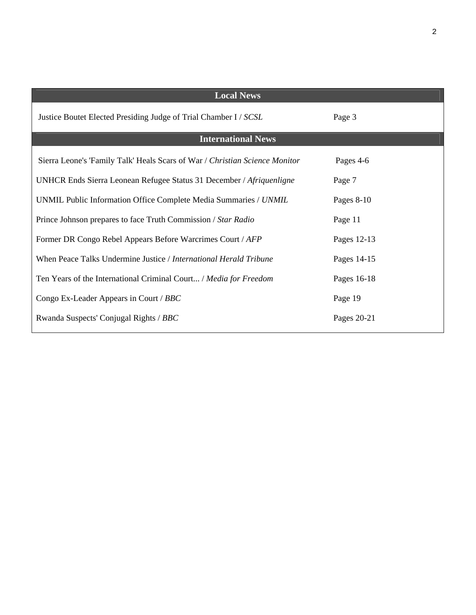| <b>Local News</b>                                                           |              |
|-----------------------------------------------------------------------------|--------------|
| Justice Boutet Elected Presiding Judge of Trial Chamber I / SCSL            | Page 3       |
| <b>International News</b>                                                   |              |
| Sierra Leone's 'Family Talk' Heals Scars of War / Christian Science Monitor | Pages 4-6    |
| UNHCR Ends Sierra Leonean Refugee Status 31 December / Afriquenligne        | Page 7       |
| UNMIL Public Information Office Complete Media Summaries / UNMIL            | Pages $8-10$ |
| Prince Johnson prepares to face Truth Commission / Star Radio               | Page 11      |
| Former DR Congo Rebel Appears Before Warcrimes Court / AFP                  | Pages 12-13  |
| When Peace Talks Undermine Justice / International Herald Tribune           | Pages 14-15  |
| Ten Years of the International Criminal Court / Media for Freedom           | Pages 16-18  |
| Congo Ex-Leader Appears in Court / BBC                                      | Page 19      |
| Rwanda Suspects' Conjugal Rights / BBC                                      | Pages 20-21  |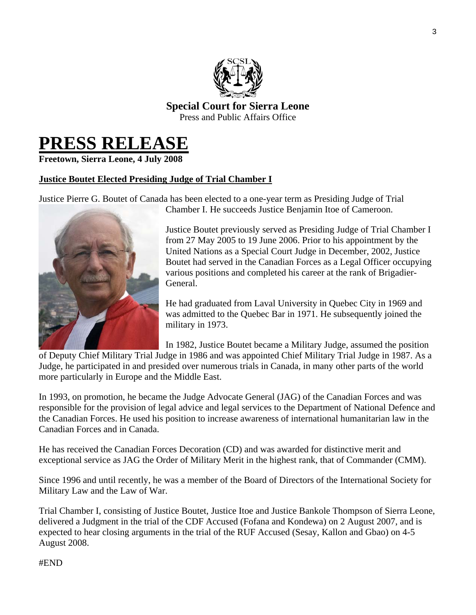

**Special Court for Sierra Leone**  Press and Public Affairs Office

# **PRESS RELEASE**

**Freetown, Sierra Leone, 4 July 2008** 

## **Justice Boutet Elected Presiding Judge of Trial Chamber I**

Justice Pierre G. Boutet of Canada has been elected to a one-year term as Presiding Judge of Trial Chamber I. He succeeds Justice Benjamin Itoe of Cameroon.



Justice Boutet previously served as Presiding Judge of Trial Chamber I from 27 May 2005 to 19 June 2006. Prior to his appointment by the United Nations as a Special Court Judge in December, 2002, Justice Boutet had served in the Canadian Forces as a Legal Officer occupying various positions and completed his career at the rank of Brigadier-General.

He had graduated from Laval University in Quebec City in 1969 and was admitted to the Quebec Bar in 1971. He subsequently joined the military in 1973.

In 1982, Justice Boutet became a Military Judge, assumed the position

of Deputy Chief Military Trial Judge in 1986 and was appointed Chief Military Trial Judge in 1987. As a Judge, he participated in and presided over numerous trials in Canada, in many other parts of the world more particularly in Europe and the Middle East.

In 1993, on promotion, he became the Judge Advocate General (JAG) of the Canadian Forces and was responsible for the provision of legal advice and legal services to the Department of National Defence and the Canadian Forces. He used his position to increase awareness of international humanitarian law in the Canadian Forces and in Canada.

He has received the Canadian Forces Decoration (CD) and was awarded for distinctive merit and exceptional service as JAG the Order of Military Merit in the highest rank, that of Commander (CMM).

Since 1996 and until recently, he was a member of the Board of Directors of the International Society for Military Law and the Law of War.

Trial Chamber I, consisting of Justice Boutet, Justice Itoe and Justice Bankole Thompson of Sierra Leone, delivered a Judgment in the trial of the CDF Accused (Fofana and Kondewa) on 2 August 2007, and is expected to hear closing arguments in the trial of the RUF Accused (Sesay, Kallon and Gbao) on 4-5 August 2008.

#### #END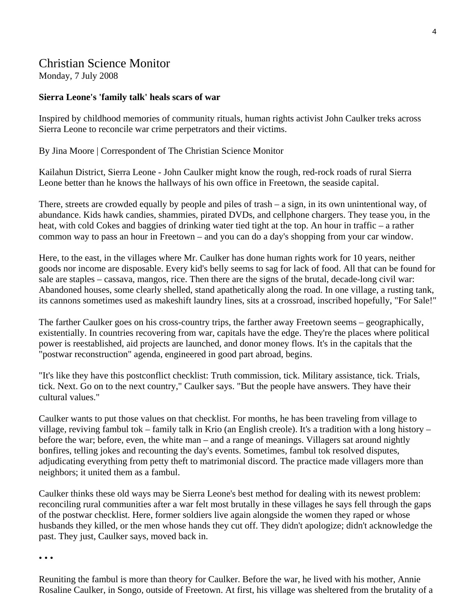## Christian Science Monitor

Monday, 7 July 2008

### **Sierra Leone's 'family talk' heals scars of war**

Inspired by childhood memories of community rituals, human rights activist John Caulker treks across Sierra Leone to reconcile war crime perpetrators and their victims.

By Jina Moore | Correspondent of The Christian Science Monitor

Kailahun District, Sierra Leone - John Caulker might know the rough, red-rock roads of rural Sierra Leone better than he knows the hallways of his own office in Freetown, the seaside capital.

There, streets are crowded equally by people and piles of trash – a sign, in its own unintentional way, of abundance. Kids hawk candies, shammies, pirated DVDs, and cellphone chargers. They tease you, in the heat, with cold Cokes and baggies of drinking water tied tight at the top. An hour in traffic – a rather common way to pass an hour in Freetown – and you can do a day's shopping from your car window.

Here, to the east, in the villages where Mr. Caulker has done human rights work for 10 years, neither goods nor income are disposable. Every kid's belly seems to sag for lack of food. All that can be found for sale are staples – cassava, mangos, rice. Then there are the signs of the brutal, decade-long civil war: Abandoned houses, some clearly shelled, stand apathetically along the road. In one village, a rusting tank, its cannons sometimes used as makeshift laundry lines, sits at a crossroad, inscribed hopefully, "For Sale!"

The farther Caulker goes on his cross-country trips, the farther away Freetown seems – geographically, existentially. In countries recovering from war, capitals have the edge. They're the places where political power is reestablished, aid projects are launched, and donor money flows. It's in the capitals that the "postwar reconstruction" agenda, engineered in good part abroad, begins.

"It's like they have this postconflict checklist: Truth commission, tick. Military assistance, tick. Trials, tick. Next. Go on to the next country," Caulker says. "But the people have answers. They have their cultural values."

Caulker wants to put those values on that checklist. For months, he has been traveling from village to village, reviving fambul tok – family talk in Krio (an English creole). It's a tradition with a long history – before the war; before, even, the white man – and a range of meanings. Villagers sat around nightly bonfires, telling jokes and recounting the day's events. Sometimes, fambul tok resolved disputes, adjudicating everything from petty theft to matrimonial discord. The practice made villagers more than neighbors; it united them as a fambul.

Caulker thinks these old ways may be Sierra Leone's best method for dealing with its newest problem: reconciling rural communities after a war felt most brutally in these villages he says fell through the gaps of the postwar checklist. Here, former soldiers live again alongside the women they raped or whose husbands they killed, or the men whose hands they cut off. They didn't apologize; didn't acknowledge the past. They just, Caulker says, moved back in.

• • •

Reuniting the fambul is more than theory for Caulker. Before the war, he lived with his mother, Annie Rosaline Caulker, in Songo, outside of Freetown. At first, his village was sheltered from the brutality of a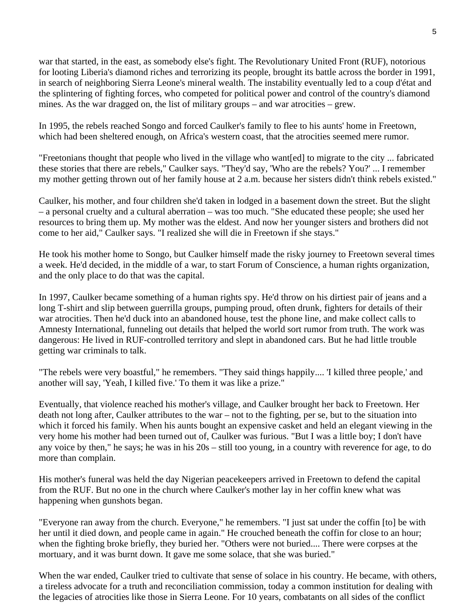war that started, in the east, as somebody else's fight. The Revolutionary United Front (RUF), notorious for looting Liberia's diamond riches and terrorizing its people, brought its battle across the border in 1991, in search of neighboring Sierra Leone's mineral wealth. The instability eventually led to a coup d'état and the splintering of fighting forces, who competed for political power and control of the country's diamond mines. As the war dragged on, the list of military groups – and war atrocities – grew.

In 1995, the rebels reached Songo and forced Caulker's family to flee to his aunts' home in Freetown, which had been sheltered enough, on Africa's western coast, that the atrocities seemed mere rumor.

"Freetonians thought that people who lived in the village who want[ed] to migrate to the city ... fabricated these stories that there are rebels," Caulker says. "They'd say, 'Who are the rebels? You?' ... I remember my mother getting thrown out of her family house at 2 a.m. because her sisters didn't think rebels existed."

Caulker, his mother, and four children she'd taken in lodged in a basement down the street. But the slight – a personal cruelty and a cultural aberration – was too much. "She educated these people; she used her resources to bring them up. My mother was the eldest. And now her younger sisters and brothers did not come to her aid," Caulker says. "I realized she will die in Freetown if she stays."

He took his mother home to Songo, but Caulker himself made the risky journey to Freetown several times a week. He'd decided, in the middle of a war, to start Forum of Conscience, a human rights organization, and the only place to do that was the capital.

In 1997, Caulker became something of a human rights spy. He'd throw on his dirtiest pair of jeans and a long T-shirt and slip between guerrilla groups, pumping proud, often drunk, fighters for details of their war atrocities. Then he'd duck into an abandoned house, test the phone line, and make collect calls to Amnesty International, funneling out details that helped the world sort rumor from truth. The work was dangerous: He lived in RUF-controlled territory and slept in abandoned cars. But he had little trouble getting war criminals to talk.

"The rebels were very boastful," he remembers. "They said things happily.... 'I killed three people,' and another will say, 'Yeah, I killed five.' To them it was like a prize."

Eventually, that violence reached his mother's village, and Caulker brought her back to Freetown. Her death not long after, Caulker attributes to the war – not to the fighting, per se, but to the situation into which it forced his family. When his aunts bought an expensive casket and held an elegant viewing in the very home his mother had been turned out of, Caulker was furious. "But I was a little boy; I don't have any voice by then," he says; he was in his 20s – still too young, in a country with reverence for age, to do more than complain.

His mother's funeral was held the day Nigerian peacekeepers arrived in Freetown to defend the capital from the RUF. But no one in the church where Caulker's mother lay in her coffin knew what was happening when gunshots began.

"Everyone ran away from the church. Everyone," he remembers. "I just sat under the coffin [to] be with her until it died down, and people came in again." He crouched beneath the coffin for close to an hour; when the fighting broke briefly, they buried her. "Others were not buried.... There were corpses at the mortuary, and it was burnt down. It gave me some solace, that she was buried."

When the war ended, Caulker tried to cultivate that sense of solace in his country. He became, with others, a tireless advocate for a truth and reconciliation commission, today a common institution for dealing with the legacies of atrocities like those in Sierra Leone. For 10 years, combatants on all sides of the conflict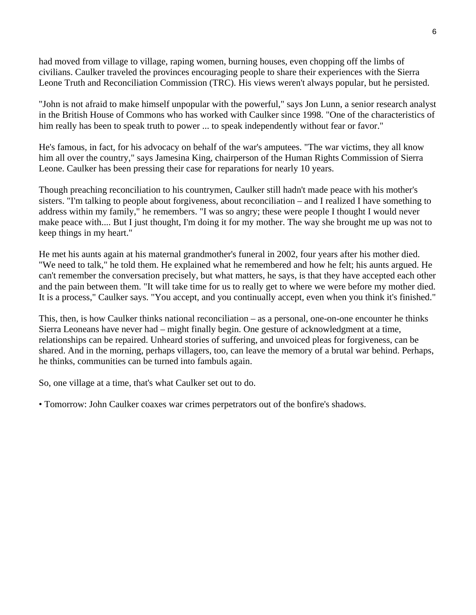had moved from village to village, raping women, burning houses, even chopping off the limbs of civilians. Caulker traveled the provinces encouraging people to share their experiences with the Sierra Leone Truth and Reconciliation Commission (TRC). His views weren't always popular, but he persisted.

"John is not afraid to make himself unpopular with the powerful," says Jon Lunn, a senior research analyst in the British House of Commons who has worked with Caulker since 1998. "One of the characteristics of him really has been to speak truth to power ... to speak independently without fear or favor."

He's famous, in fact, for his advocacy on behalf of the war's amputees. "The war victims, they all know him all over the country," says Jamesina King, chairperson of the Human Rights Commission of Sierra Leone. Caulker has been pressing their case for reparations for nearly 10 years.

Though preaching reconciliation to his countrymen, Caulker still hadn't made peace with his mother's sisters. "I'm talking to people about forgiveness, about reconciliation – and I realized I have something to address within my family," he remembers. "I was so angry; these were people I thought I would never make peace with.... But I just thought, I'm doing it for my mother. The way she brought me up was not to keep things in my heart."

He met his aunts again at his maternal grandmother's funeral in 2002, four years after his mother died. "We need to talk," he told them. He explained what he remembered and how he felt; his aunts argued. He can't remember the conversation precisely, but what matters, he says, is that they have accepted each other and the pain between them. "It will take time for us to really get to where we were before my mother died. It is a process," Caulker says. "You accept, and you continually accept, even when you think it's finished."

This, then, is how Caulker thinks national reconciliation – as a personal, one-on-one encounter he thinks Sierra Leoneans have never had – might finally begin. One gesture of acknowledgment at a time, relationships can be repaired. Unheard stories of suffering, and unvoiced pleas for forgiveness, can be shared. And in the morning, perhaps villagers, too, can leave the memory of a brutal war behind. Perhaps, he thinks, communities can be turned into fambuls again.

So, one village at a time, that's what Caulker set out to do.

• Tomorrow: John Caulker coaxes war crimes perpetrators out of the bonfire's shadows.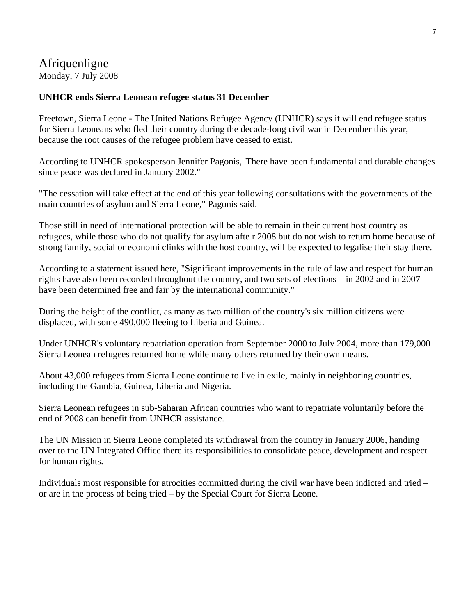## Afriquenligne

Monday, 7 July 2008

### **UNHCR ends Sierra Leonean refugee status 31 December**

Freetown, Sierra Leone - The United Nations Refugee Agency (UNHCR) says it will end refugee status for Sierra Leoneans who fled their country during the decade-long civil war in December this year, because the root causes of the refugee problem have ceased to exist.

According to UNHCR spokesperson Jennifer Pagonis, 'There have been fundamental and durable changes since peace was declared in January 2002."

"The cessation will take effect at the end of this year following consultations with the governments of the main countries of asylum and Sierra Leone," Pagonis said.

Those still in need of international protection will be able to remain in their current host country as refugees, while those who do not qualify for asylum afte r 2008 but do not wish to return home because of strong family, social or economi clinks with the host country, will be expected to legalise their stay there.

According to a statement issued here, "Significant improvements in the rule of law and respect for human rights have also been recorded throughout the country, and two sets of elections – in 2002 and in 2007 – have been determined free and fair by the international community."

During the height of the conflict, as many as two million of the country's six million citizens were displaced, with some 490,000 fleeing to Liberia and Guinea.

Under UNHCR's voluntary repatriation operation from September 2000 to July 2004, more than 179,000 Sierra Leonean refugees returned home while many others returned by their own means.

About 43,000 refugees from Sierra Leone continue to live in exile, mainly in neighboring countries, including the Gambia, Guinea, Liberia and Nigeria.

Sierra Leonean refugees in sub-Saharan African countries who want to repatriate voluntarily before the end of 2008 can benefit from UNHCR assistance.

The UN Mission in Sierra Leone completed its withdrawal from the country in January 2006, handing over to the UN Integrated Office there its responsibilities to consolidate peace, development and respect for human rights.

Individuals most responsible for atrocities committed during the civil war have been indicted and tried – or are in the process of being tried – by the Special Court for Sierra Leone.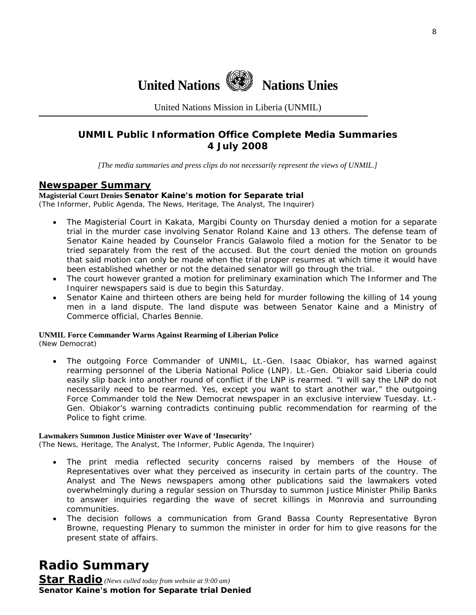

United Nations Mission in Liberia (UNMIL)

## **UNMIL Public Information Office Complete Media Summaries 4 July 2008**

*[The media summaries and press clips do not necessarily represent the views of UNMIL.]* 

#### **Newspaper Summary**

#### **Magisterial Court Denies Senator Kaine's motion for Separate trial**

(The Informer, Public Agenda, The News, Heritage, The Analyst, The Inquirer)

- The Magisterial Court in Kakata, Margibi County on Thursday denied a motion for a separate trial in the murder case involving Senator Roland Kaine and 13 others. The defense team of Senator Kaine headed by Counselor Francis Galawolo filed a motion for the Senator to be tried separately from the rest of the accused. But the court denied the motion on grounds that said motion can only be made when the trial proper resumes at which time it would have been established whether or not the detained senator will go through the trial.
- The court however granted a motion for preliminary examination which The Informer and The Inquirer newspapers said is due to begin this Saturday.
- Senator Kaine and thirteen others are being held for murder following the killing of 14 young men in a land dispute. The land dispute was between Senator Kaine and a Ministry of Commerce official, Charles Bennie.

#### **UNMIL Force Commander Warns Against Rearming of Liberian Police**

(New Democrat)

• The outgoing Force Commander of UNMIL, Lt.-Gen. Isaac Obiakor, has warned against rearming personnel of the Liberia National Police (LNP). Lt.-Gen. Obiakor said Liberia could easily slip back into another round of conflict if the LNP is rearmed. "I will say the LNP do not necessarily need to be rearmed. Yes, except you want to start another war," the outgoing Force Commander told the New Democrat newspaper in an exclusive interview Tuesday. Lt.- Gen. Obiakor's warning contradicts continuing public recommendation for rearming of the Police to fight crime.

#### **Lawmakers Summon Justice Minister over Wave of 'Insecurity'**

(The News, Heritage, The Analyst, The Informer, Public Agenda, The Inquirer)

- The print media reflected security concerns raised by members of the House of Representatives over what they perceived as insecurity in certain parts of the country. The Analyst and The News newspapers among other publications said the lawmakers voted overwhelmingly during a regular session on Thursday to summon Justice Minister Philip Banks to answer inquiries regarding the wave of secret killings in Monrovia and surrounding communities.
- The decision follows a communication from Grand Bassa County Representative Byron Browne, requesting Plenary to summon the minister in order for him to give reasons for the present state of affairs.

**Radio Summary** 

**Star Radio** *(News culled today from website at 9:00 am)*  **Senator Kaine's motion for Separate trial Denied**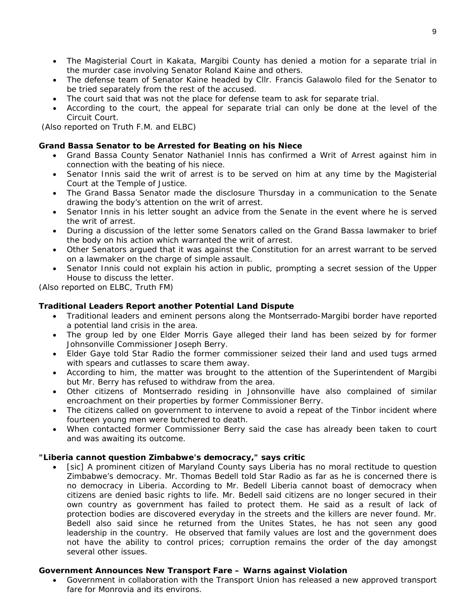- The Magisterial Court in Kakata, Margibi County has denied a motion for a separate trial in the murder case involving Senator Roland Kaine and others.
- The defense team of Senator Kaine headed by Cllr. Francis Galawolo filed for the Senator to be tried separately from the rest of the accused.
- The court said that was not the place for defense team to ask for separate trial.
- According to the court, the appeal for separate trial can only be done at the level of the Circuit Court.

 *(Also reported on Truth F.M. and ELBC)*

#### **Grand Bassa Senator to be Arrested for Beating on his Niece**

- Grand Bassa County Senator Nathaniel Innis has confirmed a Writ of Arrest against him in connection with the beating of his niece.
- Senator Innis said the writ of arrest is to be served on him at any time by the Magisterial Court at the Temple of Justice.
- The Grand Bassa Senator made the disclosure Thursday in a communication to the Senate drawing the body's attention on the writ of arrest.
- Senator Innis in his letter sought an advice from the Senate in the event where he is served the writ of arrest.
- During a discussion of the letter some Senators called on the Grand Bassa lawmaker to brief the body on his action which warranted the writ of arrest.
- Other Senators argued that it was against the Constitution for an arrest warrant to be served on a lawmaker on the charge of simple assault.
- Senator Innis could not explain his action in public, prompting a secret session of the Upper House to discuss the letter.

*(Also reported on ELBC, Truth FM)*

#### **Traditional Leaders Report another Potential Land Dispute**

- Traditional leaders and eminent persons along the Montserrado-Margibi border have reported a potential land crisis in the area.
- The group led by one Elder Morris Gaye alleged their land has been seized by for former Johnsonville Commissioner Joseph Berry.
- Elder Gaye told Star Radio the former commissioner seized their land and used tugs armed with spears and cutlasses to scare them away.
- According to him, the matter was brought to the attention of the Superintendent of Margibi but Mr. Berry has refused to withdraw from the area.
- Other citizens of Montserrado residing in Johnsonville have also complained of similar encroachment on their properties by former Commissioner Berry.
- The citizens called on government to intervene to avoid a repeat of the Tinbor incident where fourteen young men were butchered to death.
- When contacted former Commissioner Berry said the case has already been taken to court and was awaiting its outcome.

#### **"Liberia cannot question Zimbabwe's democracy," says critic**

• [sic] A prominent citizen of Maryland County says Liberia has no moral rectitude to question Zimbabwe's democracy. Mr. Thomas Bedell told Star Radio as far as he is concerned there is no democracy in Liberia. According to Mr. Bedell Liberia cannot boast of democracy when citizens are denied basic rights to life. Mr. Bedell said citizens are no longer secured in their own country as government has failed to protect them. He said as a result of lack of protection bodies are discovered everyday in the streets and the killers are never found. Mr. Bedell also said since he returned from the Unites States, he has not seen any good leadership in the country. He observed that family values are lost and the government does not have the ability to control prices; corruption remains the order of the day amongst several other issues.

#### **Government Announces New Transport Fare – Warns against Violation**

• Government in collaboration with the Transport Union has released a new approved transport fare for Monrovia and its environs.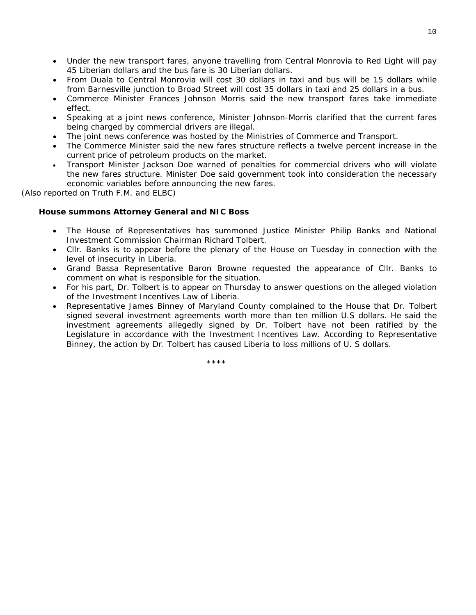- Under the new transport fares, anyone travelling from Central Monrovia to Red Light will pay 45 Liberian dollars and the bus fare is 30 Liberian dollars.
- From Duala to Central Monrovia will cost 30 dollars in taxi and bus will be 15 dollars while from Barnesville junction to Broad Street will cost 35 dollars in taxi and 25 dollars in a bus.
- Commerce Minister Frances Johnson Morris said the new transport fares take immediate effect.
- Speaking at a joint news conference, Minister Johnson-Morris clarified that the current fares being charged by commercial drivers are illegal.
- The joint news conference was hosted by the Ministries of Commerce and Transport.
- The Commerce Minister said the new fares structure reflects a twelve percent increase in the current price of petroleum products on the market.
- Transport Minister Jackson Doe warned of penalties for commercial drivers who will violate the new fares structure. Minister Doe said government took into consideration the necessary economic variables before announcing the new fares.

*(Also reported on Truth F.M. and ELBC)*

#### **House summons Attorney General and NIC Boss**

- The House of Representatives has summoned Justice Minister Philip Banks and National Investment Commission Chairman Richard Tolbert.
- Cllr. Banks is to appear before the plenary of the House on Tuesday in connection with the level of insecurity in Liberia.
- Grand Bassa Representative Baron Browne requested the appearance of Cllr. Banks to comment on what is responsible for the situation.
- For his part, Dr. Tolbert is to appear on Thursday to answer questions on the alleged violation of the Investment Incentives Law of Liberia.
- Representative James Binney of Maryland County complained to the House that Dr. Tolbert signed several investment agreements worth more than ten million U.S dollars. He said the investment agreements allegedly signed by Dr. Tolbert have not been ratified by the Legislature in accordance with the Investment Incentives Law. According to Representative Binney, the action by Dr. Tolbert has caused Liberia to loss millions of U. S dollars.

\*\*\*\*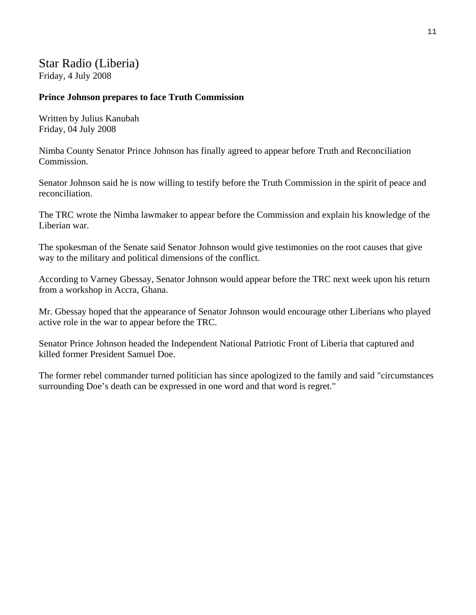## Star Radio (Liberia) Friday, 4 July 2008

### **Prince Johnson prepares to face Truth Commission**

Written by Julius Kanubah Friday, 04 July 2008

Nimba County Senator Prince Johnson has finally agreed to appear before Truth and Reconciliation Commission.

Senator Johnson said he is now willing to testify before the Truth Commission in the spirit of peace and reconciliation.

The TRC wrote the Nimba lawmaker to appear before the Commission and explain his knowledge of the Liberian war.

The spokesman of the Senate said Senator Johnson would give testimonies on the root causes that give way to the military and political dimensions of the conflict.

According to Varney Gbessay, Senator Johnson would appear before the TRC next week upon his return from a workshop in Accra, Ghana.

Mr. Gbessay hoped that the appearance of Senator Johnson would encourage other Liberians who played active role in the war to appear before the TRC.

Senator Prince Johnson headed the Independent National Patriotic Front of Liberia that captured and killed former President Samuel Doe.

The former rebel commander turned politician has since apologized to the family and said "circumstances surrounding Doe's death can be expressed in one word and that word is regret."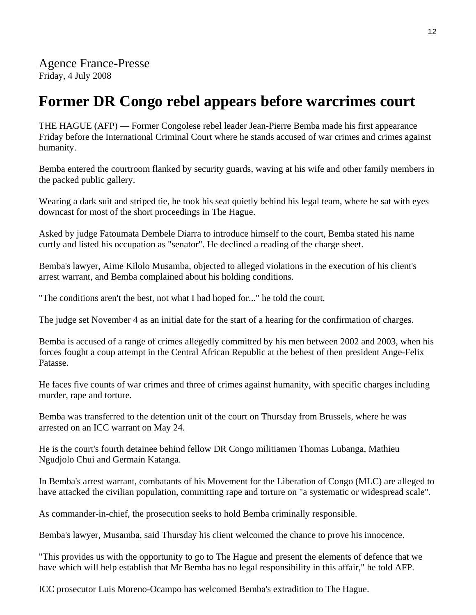## **Former DR Congo rebel appears before warcrimes court**

THE HAGUE (AFP) — Former Congolese rebel leader Jean-Pierre Bemba made his first appearance Friday before the International Criminal Court where he stands accused of war crimes and crimes against humanity.

Bemba entered the courtroom flanked by security guards, waving at his wife and other family members in the packed public gallery.

Wearing a dark suit and striped tie, he took his seat quietly behind his legal team, where he sat with eyes downcast for most of the short proceedings in The Hague.

Asked by judge Fatoumata Dembele Diarra to introduce himself to the court, Bemba stated his name curtly and listed his occupation as "senator". He declined a reading of the charge sheet.

Bemba's lawyer, Aime Kilolo Musamba, objected to alleged violations in the execution of his client's arrest warrant, and Bemba complained about his holding conditions.

"The conditions aren't the best, not what I had hoped for..." he told the court.

The judge set November 4 as an initial date for the start of a hearing for the confirmation of charges.

Bemba is accused of a range of crimes allegedly committed by his men between 2002 and 2003, when his forces fought a coup attempt in the Central African Republic at the behest of then president Ange-Felix Patasse.

He faces five counts of war crimes and three of crimes against humanity, with specific charges including murder, rape and torture.

Bemba was transferred to the detention unit of the court on Thursday from Brussels, where he was arrested on an ICC warrant on May 24.

He is the court's fourth detainee behind fellow DR Congo militiamen Thomas Lubanga, Mathieu Ngudjolo Chui and Germain Katanga.

In Bemba's arrest warrant, combatants of his Movement for the Liberation of Congo (MLC) are alleged to have attacked the civilian population, committing rape and torture on "a systematic or widespread scale".

As commander-in-chief, the prosecution seeks to hold Bemba criminally responsible.

Bemba's lawyer, Musamba, said Thursday his client welcomed the chance to prove his innocence.

"This provides us with the opportunity to go to The Hague and present the elements of defence that we have which will help establish that Mr Bemba has no legal responsibility in this affair," he told AFP.

ICC prosecutor Luis Moreno-Ocampo has welcomed Bemba's extradition to The Hague.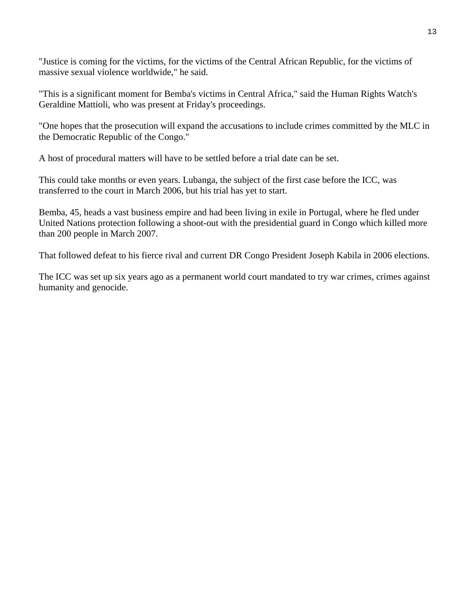"Justice is coming for the victims, for the victims of the Central African Republic, for the victims of massive sexual violence worldwide," he said.

"This is a significant moment for Bemba's victims in Central Africa," said the Human Rights Watch's Geraldine Mattioli, who was present at Friday's proceedings.

"One hopes that the prosecution will expand the accusations to include crimes committed by the MLC in the Democratic Republic of the Congo."

A host of procedural matters will have to be settled before a trial date can be set.

This could take months or even years. Lubanga, the subject of the first case before the ICC, was transferred to the court in March 2006, but his trial has yet to start.

Bemba, 45, heads a vast business empire and had been living in exile in Portugal, where he fled under United Nations protection following a shoot-out with the presidential guard in Congo which killed more than 200 people in March 2007.

That followed defeat to his fierce rival and current DR Congo President Joseph Kabila in 2006 elections.

The ICC was set up six years ago as a permanent world court mandated to try war crimes, crimes against humanity and genocide.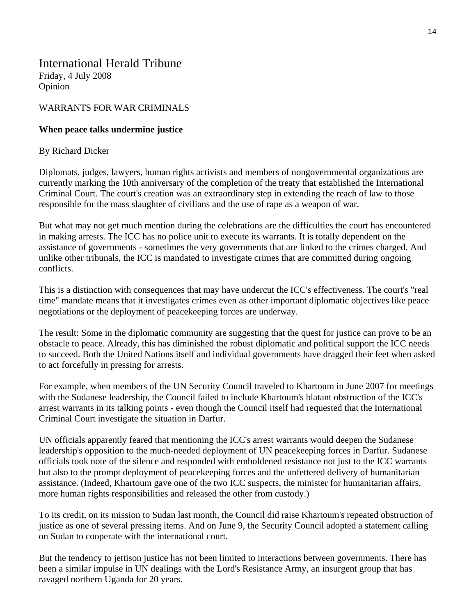## International Herald Tribune Friday, 4 July 2008

Opinion

## WARRANTS FOR WAR CRIMINALS

## **When peace talks undermine justice**

## By Richard Dicker

Diplomats, judges, lawyers, human rights activists and members of nongovernmental organizations are currently marking the 10th anniversary of the completion of the treaty that established the International Criminal Court. The court's creation was an extraordinary step in extending the reach of law to those responsible for the mass slaughter of civilians and the use of rape as a weapon of war.

But what may not get much mention during the celebrations are the difficulties the court has encountered in making arrests. The ICC has no police unit to execute its warrants. It is totally dependent on the assistance of governments - sometimes the very governments that are linked to the crimes charged. And unlike other tribunals, the ICC is mandated to investigate crimes that are committed during ongoing conflicts.

This is a distinction with consequences that may have undercut the ICC's effectiveness. The court's "real time" mandate means that it investigates crimes even as other important diplomatic objectives like peace negotiations or the deployment of peacekeeping forces are underway.

The result: Some in the diplomatic community are suggesting that the quest for justice can prove to be an obstacle to peace. Already, this has diminished the robust diplomatic and political support the ICC needs to succeed. Both the United Nations itself and individual governments have dragged their feet when asked to act forcefully in pressing for arrests.

For example, when members of the UN Security Council traveled to Khartoum in June 2007 for meetings with the Sudanese leadership, the Council failed to include Khartoum's blatant obstruction of the ICC's arrest warrants in its talking points - even though the Council itself had requested that the International Criminal Court investigate the situation in Darfur.

UN officials apparently feared that mentioning the ICC's arrest warrants would deepen the Sudanese leadership's opposition to the much-needed deployment of UN peacekeeping forces in Darfur. Sudanese officials took note of the silence and responded with emboldened resistance not just to the ICC warrants but also to the prompt deployment of peacekeeping forces and the unfettered delivery of humanitarian assistance. (Indeed, Khartoum gave one of the two ICC suspects, the minister for humanitarian affairs, more human rights responsibilities and released the other from custody.)

To its credit, on its mission to Sudan last month, the Council did raise Khartoum's repeated obstruction of justice as one of several pressing items. And on June 9, the Security Council adopted a statement calling on Sudan to cooperate with the international court.

But the tendency to jettison justice has not been limited to interactions between governments. There has been a similar impulse in UN dealings with the Lord's Resistance Army, an insurgent group that has ravaged northern Uganda for 20 years.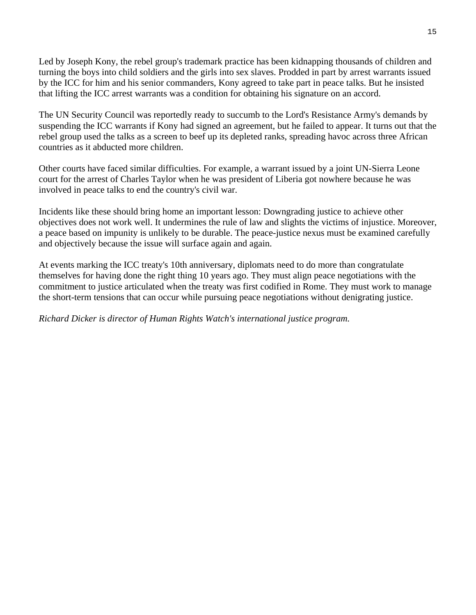Led by Joseph Kony, the rebel group's trademark practice has been kidnapping thousands of children and turning the boys into child soldiers and the girls into sex slaves. Prodded in part by arrest warrants issued by the ICC for him and his senior commanders, Kony agreed to take part in peace talks. But he insisted that lifting the ICC arrest warrants was a condition for obtaining his signature on an accord.

The UN Security Council was reportedly ready to succumb to the Lord's Resistance Army's demands by suspending the ICC warrants if Kony had signed an agreement, but he failed to appear. It turns out that the rebel group used the talks as a screen to beef up its depleted ranks, spreading havoc across three African countries as it abducted more children.

Other courts have faced similar difficulties. For example, a warrant issued by a joint UN-Sierra Leone court for the arrest of Charles Taylor when he was president of Liberia got nowhere because he was involved in peace talks to end the country's civil war.

Incidents like these should bring home an important lesson: Downgrading justice to achieve other objectives does not work well. It undermines the rule of law and slights the victims of injustice. Moreover, a peace based on impunity is unlikely to be durable. The peace-justice nexus must be examined carefully and objectively because the issue will surface again and again.

At events marking the ICC treaty's 10th anniversary, diplomats need to do more than congratulate themselves for having done the right thing 10 years ago. They must align peace negotiations with the commitment to justice articulated when the treaty was first codified in Rome. They must work to manage the short-term tensions that can occur while pursuing peace negotiations without denigrating justice.

*Richard Dicker is director of Human Rights Watch's international justice program.*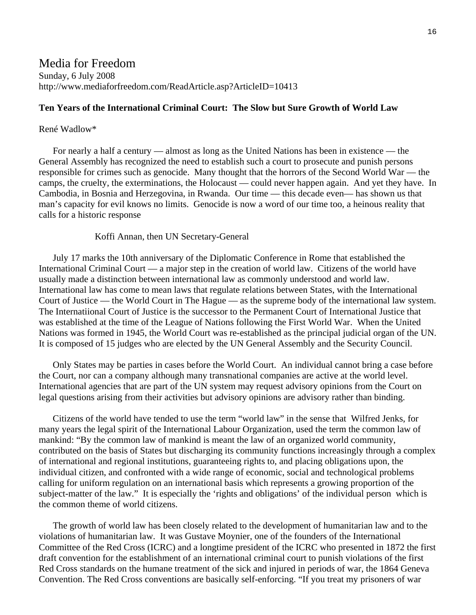## Media for Freedom Sunday, 6 July 2008 http://www.mediaforfreedom.com/ReadArticle.asp?ArticleID=10413

#### **Ten Years of the International Criminal Court: The Slow but Sure Growth of World Law**

#### René Wadlow\*

 For nearly a half a century — almost as long as the United Nations has been in existence — the General Assembly has recognized the need to establish such a court to prosecute and punish persons responsible for crimes such as genocide. Many thought that the horrors of the Second World War — the camps, the cruelty, the exterminations, the Holocaust — could never happen again. And yet they have. In Cambodia, in Bosnia and Herzegovina, in Rwanda. Our time — this decade even— has shown us that man's capacity for evil knows no limits. Genocide is now a word of our time too, a heinous reality that calls for a historic response

#### Koffi Annan, then UN Secretary-General

 July 17 marks the 10th anniversary of the Diplomatic Conference in Rome that established the International Criminal Court — a major step in the creation of world law. Citizens of the world have usually made a distinction between international law as commonly understood and world law. International law has come to mean laws that regulate relations between States, with the International Court of Justice — the World Court in The Hague — as the supreme body of the international law system. The Internatiional Court of Justice is the successor to the Permanent Court of International Justice that was established at the time of the League of Nations following the First World War. When the United Nations was formed in 1945, the World Court was re-established as the principal judicial organ of the UN. It is composed of 15 judges who are elected by the UN General Assembly and the Security Council.

 Only States may be parties in cases before the World Court. An individual cannot bring a case before the Court, nor can a company although many transnational companies are active at the world level. International agencies that are part of the UN system may request advisory opinions from the Court on legal questions arising from their activities but advisory opinions are advisory rather than binding.

 Citizens of the world have tended to use the term "world law" in the sense that Wilfred Jenks, for many years the legal spirit of the International Labour Organization, used the term the common law of mankind: "By the common law of mankind is meant the law of an organized world community, contributed on the basis of States but discharging its community functions increasingly through a complex of international and regional institutions, guaranteeing rights to, and placing obligations upon, the individual citizen, and confronted with a wide range of economic, social and technological problems calling for uniform regulation on an international basis which represents a growing proportion of the subject-matter of the law." It is especially the 'rights and obligations' of the individual person which is the common theme of world citizens.

 The growth of world law has been closely related to the development of humanitarian law and to the violations of humanitarian law. It was Gustave Moynier, one of the founders of the International Committee of the Red Cross (ICRC) and a longtime president of the ICRC who presented in 1872 the first draft convention for the establishment of an international criminal court to punish violations of the first Red Cross standards on the humane treatment of the sick and injured in periods of war, the 1864 Geneva Convention. The Red Cross conventions are basically self-enforcing. "If you treat my prisoners of war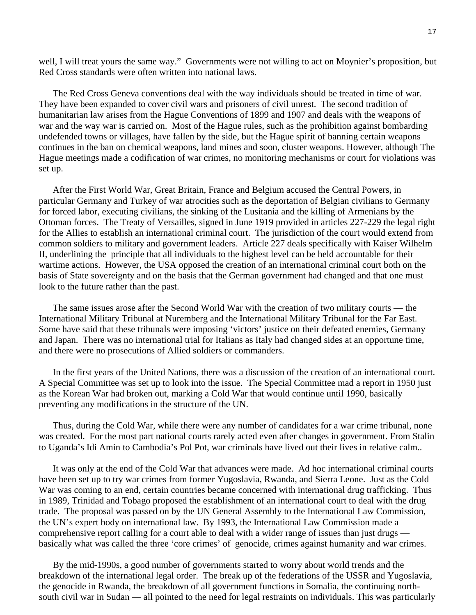well, I will treat yours the same way." Governments were not willing to act on Moynier's proposition, but Red Cross standards were often written into national laws.

 The Red Cross Geneva conventions deal with the way individuals should be treated in time of war. They have been expanded to cover civil wars and prisoners of civil unrest. The second tradition of humanitarian law arises from the Hague Conventions of 1899 and 1907 and deals with the weapons of war and the way war is carried on. Most of the Hague rules, such as the prohibition against bombarding undefended towns or villages, have fallen by the side, but the Hague spirit of banning certain weapons continues in the ban on chemical weapons, land mines and soon, cluster weapons. However, although The Hague meetings made a codification of war crimes, no monitoring mechanisms or court for violations was set up.

 After the First World War, Great Britain, France and Belgium accused the Central Powers, in particular Germany and Turkey of war atrocities such as the deportation of Belgian civilians to Germany for forced labor, executing civilians, the sinking of the Lusitania and the killing of Armenians by the Ottoman forces. The Treaty of Versailles, signed in June 1919 provided in articles 227-229 the legal right for the Allies to establish an international criminal court. The jurisdiction of the court would extend from common soldiers to military and government leaders. Article 227 deals specifically with Kaiser Wilhelm II, underlining the principle that all individuals to the highest level can be held accountable for their wartime actions. However, the USA opposed the creation of an international criminal court both on the basis of State sovereignty and on the basis that the German government had changed and that one must look to the future rather than the past.

 The same issues arose after the Second World War with the creation of two military courts — the International Military Tribunal at Nuremberg and the International Military Tribunal for the Far East. Some have said that these tribunals were imposing 'victors' justice on their defeated enemies, Germany and Japan. There was no international trial for Italians as Italy had changed sides at an opportune time, and there were no prosecutions of Allied soldiers or commanders.

 In the first years of the United Nations, there was a discussion of the creation of an international court. A Special Committee was set up to look into the issue. The Special Committee mad a report in 1950 just as the Korean War had broken out, marking a Cold War that would continue until 1990, basically preventing any modifications in the structure of the UN.

 Thus, during the Cold War, while there were any number of candidates for a war crime tribunal, none was created. For the most part national courts rarely acted even after changes in government. From Stalin to Uganda's Idi Amin to Cambodia's Pol Pot, war criminals have lived out their lives in relative calm..

 It was only at the end of the Cold War that advances were made. Ad hoc international criminal courts have been set up to try war crimes from former Yugoslavia, Rwanda, and Sierra Leone. Just as the Cold War was coming to an end, certain countries became concerned with international drug trafficking. Thus in 1989, Trinidad and Tobago proposed the establishment of an international court to deal with the drug trade. The proposal was passed on by the UN General Assembly to the International Law Commission, the UN's expert body on international law. By 1993, the International Law Commission made a comprehensive report calling for a court able to deal with a wider range of issues than just drugs basically what was called the three 'core crimes' of genocide, crimes against humanity and war crimes.

 By the mid-1990s, a good number of governments started to worry about world trends and the breakdown of the international legal order. The break up of the federations of the USSR and Yugoslavia, the genocide in Rwanda, the breakdown of all government functions in Somalia, the continuing northsouth civil war in Sudan — all pointed to the need for legal restraints on individuals. This was particularly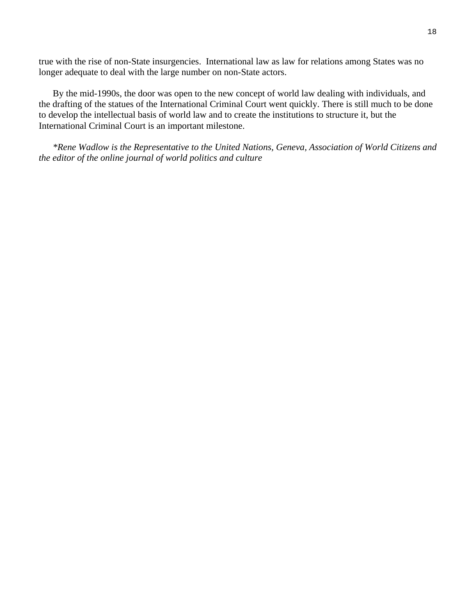true with the rise of non-State insurgencies. International law as law for relations among States was no longer adequate to deal with the large number on non-State actors.

 By the mid-1990s, the door was open to the new concept of world law dealing with individuals, and the drafting of the statues of the International Criminal Court went quickly. There is still much to be done to develop the intellectual basis of world law and to create the institutions to structure it, but the International Criminal Court is an important milestone.

 *\*Rene Wadlow is the Representative to the United Nations, Geneva, Association of World Citizens and the editor of the online journal of world politics and culture*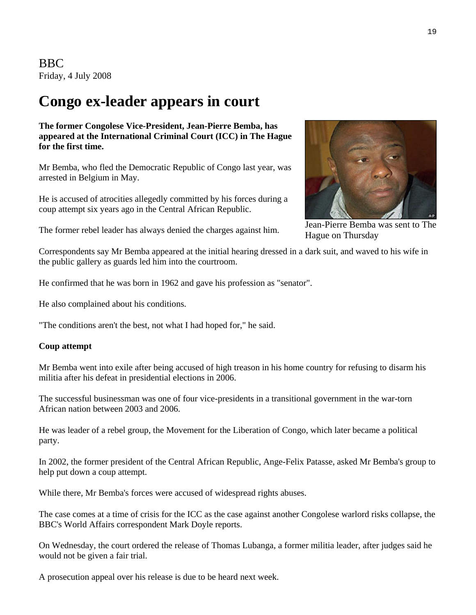BBC Friday, 4 July 2008

## **Congo ex-leader appears in court**

**The former Congolese Vice-President, Jean-Pierre Bemba, has appeared at the International Criminal Court (ICC) in The Hague for the first time.** 

Mr Bemba, who fled the Democratic Republic of Congo last year, was arrested in Belgium in May.

He is accused of atrocities allegedly committed by his forces during a coup attempt six years ago in the Central African Republic.

The former rebel leader has always denied the charges against him.

Jean-Pierre Bemba was sent to The

Hague on Thursday

Correspondents say Mr Bemba appeared at the initial hearing dressed in a dark suit, and waved to his wife in the public gallery as guards led him into the courtroom.

He confirmed that he was born in 1962 and gave his profession as "senator".

He also complained about his conditions.

"The conditions aren't the best, not what I had hoped for," he said.

#### **Coup attempt**

Mr Bemba went into exile after being accused of high treason in his home country for refusing to disarm his militia after his defeat in presidential elections in 2006.

The successful businessman was one of four vice-presidents in a transitional government in the war-torn African nation between 2003 and 2006.

He was leader of a rebel group, the Movement for the Liberation of Congo, which later became a political party.

In 2002, the former president of the Central African Republic, Ange-Felix Patasse, asked Mr Bemba's group to help put down a coup attempt.

While there, Mr Bemba's forces were accused of widespread rights abuses.

The case comes at a time of crisis for the ICC as the case against another Congolese warlord risks collapse, the BBC's World Affairs correspondent Mark Doyle reports.

On Wednesday, the court ordered the release of Thomas Lubanga, a former militia leader, after judges said he would not be given a fair trial.

A prosecution appeal over his release is due to be heard next week.

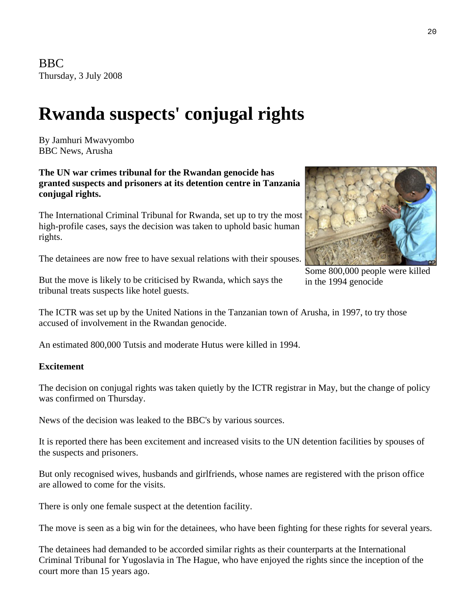# **Rwanda suspects' conjugal rights**

By Jamhuri Mwavyombo BBC News, Arusha

**The UN war crimes tribunal for the Rwandan genocide has granted suspects and prisoners at its detention centre in Tanzania conjugal rights.** 

The International Criminal Tribunal for Rwanda, set up to try the most high-profile cases, says the decision was taken to uphold basic human rights.

The detainees are now free to have sexual relations with their spouses.



Some 800,000 people were killed

But the move is likely to be criticised by Rwanda, which says the in the 1994 genocide tribunal treats suspects like hotel guests.

The ICTR was set up by the United Nations in the Tanzanian town of Arusha, in 1997, to try those accused of involvement in the Rwandan genocide.

An estimated 800,000 Tutsis and moderate Hutus were killed in 1994.

## **Excitement**

The decision on conjugal rights was taken quietly by the ICTR registrar in May, but the change of policy was confirmed on Thursday.

News of the decision was leaked to the BBC's by various sources.

It is reported there has been excitement and increased visits to the UN detention facilities by spouses of the suspects and prisoners.

But only recognised wives, husbands and girlfriends, whose names are registered with the prison office are allowed to come for the visits.

There is only one female suspect at the detention facility.

The move is seen as a big win for the detainees, who have been fighting for these rights for several years.

The detainees had demanded to be accorded similar rights as their counterparts at the International Criminal Tribunal for Yugoslavia in The Hague, who have enjoyed the rights since the inception of the court more than 15 years ago.